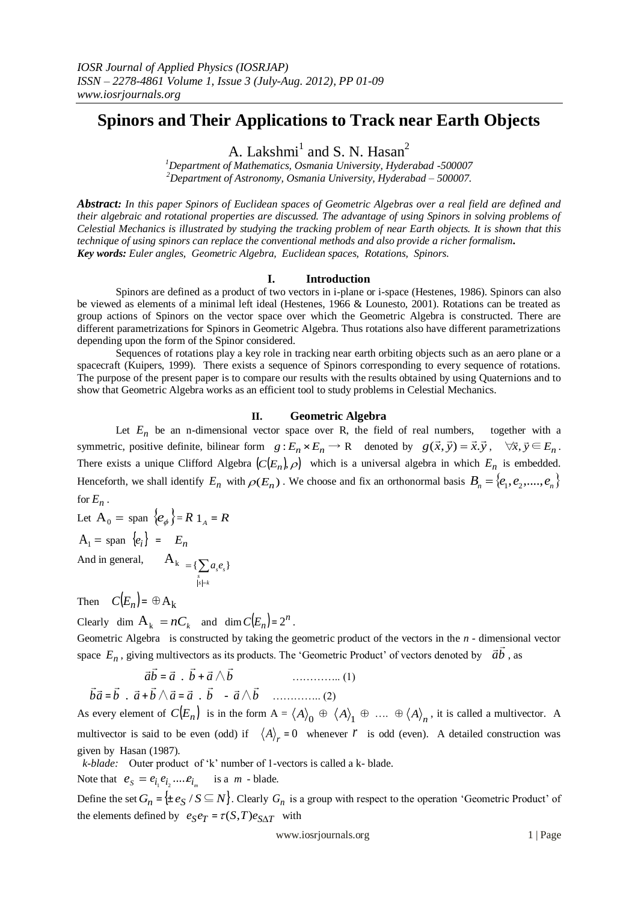# **Spinors and Their Applications to Track near Earth Objects**

A. Lakshmi<sup>1</sup> and S. N. Hasan<sup>2</sup>

*<sup>1</sup>Department of Mathematics, Osmania University, Hyderabad -500007 <sup>2</sup>Department of Astronomy, Osmania University, Hyderabad – 500007.*

*Abstract: In this paper Spinors of Euclidean spaces of Geometric Algebras over a real field are defined and their algebraic and rotational properties are discussed. The advantage of using Spinors in solving problems of Celestial Mechanics is illustrated by studying the tracking problem of near Earth objects. It is shown that this technique of using spinors can replace the conventional methods and also provide a richer formalism. Key words: Euler angles, Geometric Algebra, Euclidean spaces, Rotations, Spinors.* 

## **I. Introduction**

Spinors are defined as a product of two vectors in i-plane or i-space (Hestenes, 1986). Spinors can also be viewed as elements of a minimal left ideal (Hestenes, 1966 & Lounesto, 2001). Rotations can be treated as group actions of Spinors on the vector space over which the Geometric Algebra is constructed. There are different parametrizations for Spinors in Geometric Algebra. Thus rotations also have different parametrizations depending upon the form of the Spinor considered.

Sequences of rotations play a key role in tracking near earth orbiting objects such as an aero plane or a spacecraft (Kuipers, 1999). There exists a sequence of Spinors corresponding to every sequence of rotations. The purpose of the present paper is to compare our results with the results obtained by using Quaternions and to show that Geometric Algebra works as an efficient tool to study problems in Celestial Mechanics.

## **II. Geometric Algebra**

Let  $E_n$  be an n-dimensional vector space over R, the field of real numbers, together with a symmetric, positive definite, bilinear form  $g: E_n \times E_n \to \mathbb{R}$  denoted by  $g(\vec{x}, \vec{y}) = \vec{x} \cdot \vec{y}$ ,  $\forall \vec{x}, \vec{y} \in E_n$ . There exists a unique Clifford Algebra  $(C(E_n), \rho)$  which is a universal algebra in which  $E_n$  is embedded. Henceforth, we shall identify  $E_n$  with  $\rho(E_n)$ . We choose and fix an orthonormal basis  $B_n = \{e_1, e_2, \dots, e_n\}$ for  $E_n$ .

Let 
$$
A_0 = \text{span} \{e_\phi\} = R \mathbb{1}_A = R
$$
  
\n $A_1 = \text{span} \{e_i\} = E_n$   
\nAnd in general,  $A_k = \{\sum_{s_i=k} a_s e_s\}$ 

Then  $C(E_n) = \bigoplus A_k$ 

 $\vec{r}$  =

Clearly dim  $A_k = nC_k$  and dim  $C(E_n) = 2^n$ .

Geometric Algebra is constructed by taking the geometric product of the vectors in the *n* - dimensional vector space  $E_n$ , giving multivectors as its products. The 'Geometric Product' of vectors denoted by  $\overrightarrow{ab}$ , as

*ab a b a b* = . + ∧ ………….. (1) *ba b a b a a b - a b* = . + ∧ = . ∧ ………….. (2)

As every element of  $C(E_n)$  is in the form  $A = \langle A \rangle_0 \oplus \langle A \rangle_1 \oplus \dots \oplus \langle A \rangle_n$ , it is called a multivector. A multivector is said to be even (odd) if  $\langle A \rangle_r = 0$  whenever *r* is odd (even). A detailed construction was given by Hasan (1987).

 *k-blade:* Outer product of 'k' number of 1-vectors is called a k- blade.

Note that  $e_s = e_{i_1} e_{i_2} .... e_{i_m}$  is a *m* - blade.

Define the set  $G_n = \{\pm e_S / S \subseteq N\}$ . Clearly  $G_n$  is a group with respect to the operation 'Geometric Product' of the elements defined by  $e_S e_T = \tau(S, T) e_{S \Delta T}$  with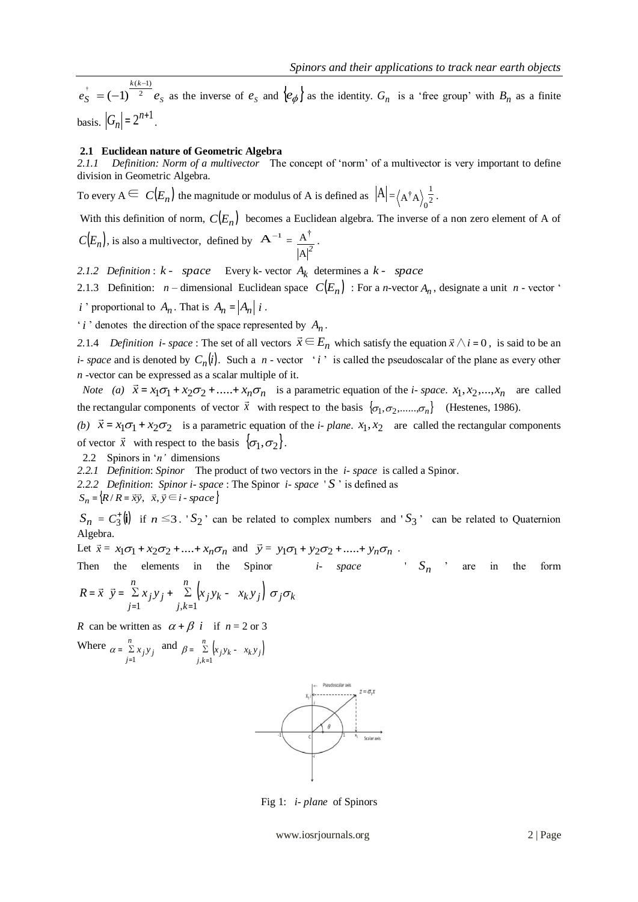$e_S = (-1)^{-2} e_S$ *k k e* 2  $(k-1)$  $(-1)$ - $= (-1)^{\sqrt{2}} e_s$  as the inverse of  $e_s$  and  $\{e_{\phi}\}\$  as the identity.  $G_n$  is a 'free group' with  $B_n$  as a finite basis.  $|G_n| = 2^{n+1}$ .

### **2.1 Euclidean nature of Geometric Algebra**

*2.1.1 Definition: Norm of a multivector* The concept of 'norm' of a multivector is very important to define division in Geometric Algebra.

To every  $A \subseteq C(E_n)$  the magnitude or modulus of A is defined as  $|A| = (A^{\dagger}A)\frac{1}{2}$  $A^{\dagger}A \rangle_0^{\frac{1}{2}}$ 

With this definition of norm,  $C(E_n)$  becomes a Euclidean algebra. The inverse of a non zero element of A of  $C(E_n)$ , is also a multivector, defined by  $A^{-1} =$  $A|^2$  $\underline{A^{\dagger}}$ .

2.1.2 *Definition*:  $k$  - *space* Every  $k$ - vector  $A_k$  determines a  $k$  - *space* 

2.1.3 Definition: *n* – dimensional Euclidean space  $C(E_n)$ : For a *n*-vector  $A_n$ , designate a unit *n* - vector ' *i* ' proportional to  $A_n$ . That is  $A_n = |A_n| i$ .

 $i$  ' denotes the direction of the space represented by  $A_n$ .

 $\zeta = (1) - 2$   $c_p$  is the inverse of  $c_g$  into  $\{\varphi_g\}$  is the identity.  $G_n$  is a "new group" with  $B_n$  as a finite  $\langle G_p \rangle = 2^{2/3}$ .<br>  $\langle V, \mathbf{c} \rangle = 2^{2/3}$ .<br>  $\langle V, \mathbf{c} \rangle = 2^{2/3}$ .<br>  $\langle V, \mathbf{c} \rangle = 2^{2/3}$ .<br>  $\langle V, \mathbf{c$ 2.1.4 *Definition i- space* : The set of all vectors  $\vec{x} \in E_n$  which satisfy the equation  $\vec{x} \wedge i = 0$ , is said to be an *i*- *space* and is denoted by  $C_n(i)$ . Such a *n* - vector '*i*' is called the pseudoscalar of the plane as every other *n* -vector can be expressed as a scalar multiple of it.

*Note* (*a*)  $\vec{x} = x_1 \sigma_1 + x_2 \sigma_2 + \dots + x_n \sigma_n$ is a parametric equation of the *i*- *space*.  $x_1, x_2, ..., x_n$  are called the rectangular components of vector  $\vec{x}$  with respect to the basis  $\{\sigma_1, \sigma_2, \ldots, \sigma_n\}$  (Hestenes, 1986).

(*b*)  $\vec{x} = x_1 \sigma_1 + x_2 \sigma_2$ is a parametric equation of the *i- plane*.  $x_1, x_2$  are called the rectangular components of vector  $\vec{x}$  with respect to the basis  $\{\sigma_1, \sigma_2\}$ .

2.2 Spinors in '*n'* dimensions

*2.2.1 Definition*: *Spinor* The product of two vectors in the *i- space* is called a Spinor.

*2.2.2 Definition*: *Spinor i- space* : The Spinor *i- space* ' *S* ' is defined as

 $S_n = \{ R/R = \vec{xy}, \ \vec{x}, \vec{y} \in i \text{ - space } \}$ 

 $S_n = C_3^{\dagger}(\mathbf{i})$  if  $n \leq 3$ . ' $S_2$ ' can be related to complex numbers and ' $S_3$ ' can be related to Quaternion Algebra.

Let  $\vec{x} = x_1 \sigma_1 + x_2 \sigma_2 + ... + x_n \sigma_n$  and  $\vec{y} = y_1 \sigma_1 + y_2 \sigma_2 + ... + y_n \sigma_n$ .

Then the elements in the Spinor *i- space* '  $S_n$ ' are in the form

$$
R = \vec{x} \ \vec{y} = \sum_{j=1}^{n} x_j y_j + \sum_{j,k=1}^{n} \left( x_j y_k - x_k y_j \right) \sigma_j \sigma_k
$$

*R* can be written as  $\alpha + \beta$  *i* if  $n = 2$  or 3

Where 
$$
\alpha = \sum_{j=1}^{n} x_j y_j
$$
 and  $\beta = \sum_{j,k=1}^{n} \left( x_j y_k - x_k y_j \right)$ 



Fig 1: *i- plane* of Spinors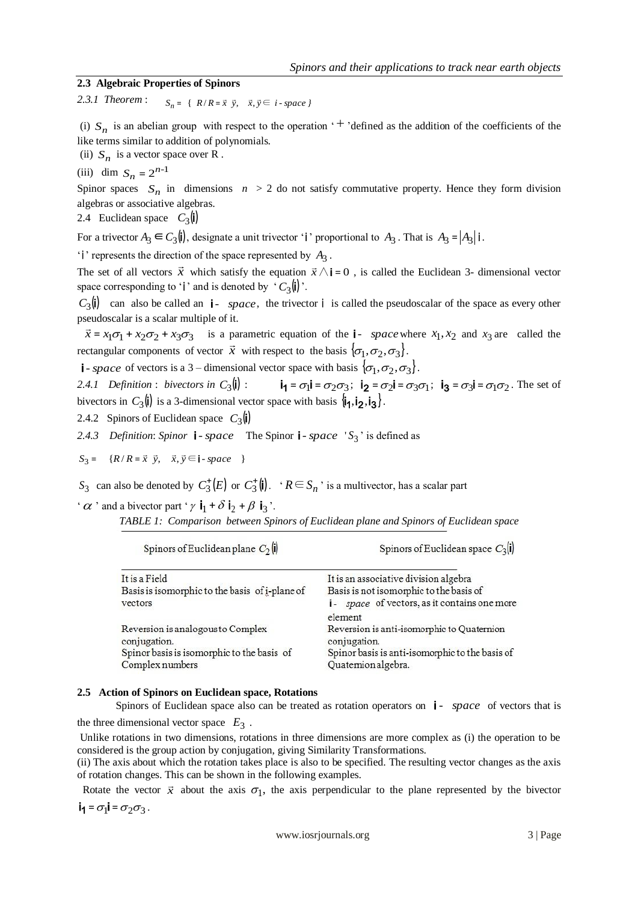Spinors of Euclidean space  $C_2$ (i)

# **2.3 Algebraic Properties of Spinors**

2.3.1 Theorem :  $S_n = \{ R/R = \vec{x} \ \vec{y}, \ \vec{x}, \vec{y} \in i \text{-space} \}$ 

(i)  $S_n$  is an abelian group with respect to the operation  $+$  'defined as the addition of the coefficients of the like terms similar to addition of polynomials.

(ii)  $S_n$  is a vector space over R.

(iii) dim  $S_n = 2^{n-1}$ 

Spinor spaces  $S_n$  in dimensions  $n > 2$  do not satisfy commutative property. Hence they form division algebras or associative algebras.

2.4 Euclidean space  $C_3(\mathbf{i})$ 

For a trivector  $A_3 \in C_3(\mathbf{i})$ , designate a unit trivector '**i**' proportional to  $A_3$ . That is  $A_3 = |A_3| \mathbf{i}$ .

'i' represents the direction of the space represented by  $A_3$ .

The set of all vectors  $\vec{x}$  which satisfy the equation  $\vec{x} \wedge \vec{i} = 0$ , is called the Euclidean 3- dimensional vector space corresponding to '**i**' and is denoted by ' $C_3$ **(i)**'.

 $C_3(\mathbf{i})$  can also be called an  $\mathbf{i}$ - *space*, the trivector  $\mathbf{i}$  is called the pseudoscalar of the space as every other pseudoscalar is a scalar multiple of it.

 $\vec{x} = x_1 \sigma_1 + x_2 \sigma_2 + x_3 \sigma_3$  is a parametric equation of the **i**- *space* where  $x_1, x_2$  and  $x_3$  are called the  $x = x_1 \cup x_2 \cup x_3 \cup x_4$  is a parametric equation of the *space* with rectangular components of vector  $\vec{x}$  with respect to the basis  $\{\sigma_1, \sigma_2, \sigma_3\}$ .

*i* - *space* of vectors is a 3 – dimensional vector space with basis  $\{\sigma_1, \sigma_2, \sigma_3\}$ .

2.4.1 Definition : bivectors in  $C_3(\mathbf{l})$  :  $\mathbf{i}_1 = \sigma_1 \mathbf{i} = \sigma_2 \sigma_3; \ \mathbf{i}_2 = \sigma_2 \mathbf{i} = \sigma_3 \sigma_1; \ \mathbf{i}_3 = \sigma_3 \mathbf{i} = \sigma_1 \sigma_2.$  The set of bivectors in  $C_3(\mathbf{i})$  is a 3-dimensional vector space with basis  $\mathbf{i}_1, \mathbf{i}_2, \mathbf{i}_3$ .

2.4.2 Spinors of Euclidean space  $C_3(\mathbf{i})$ 

2.4.3 Definition: Spinor **i** - space The Spinor **i** - space 'S<sub>3</sub>' is defined as

 $S_3 = {R/R = \vec{x} \ \vec{y}, \ \vec{x}, \vec{y} \in I \text{ - space } }$ 

S<sub>3</sub> can also be denoted by  $C_3^{\dagger}(E)$  or  $C_3^{\dagger}(\mathbf{i})$ . ' $R \in S_n$ ' is a multivector, has a scalar part

'  $\alpha$  ' and a bivector part '  $\gamma$   $\mathbf{i}_1 + \delta \mathbf{i}_2 + \beta \mathbf{i}_3$ '.

Spinors of Euclidean plane  $C_2(\mathbf{i})$ 

| TABLE 1: Comparison between Spinors of Euclidean plane and Spinors of Euclidean space |  |  |  |  |  |  |
|---------------------------------------------------------------------------------------|--|--|--|--|--|--|
|---------------------------------------------------------------------------------------|--|--|--|--|--|--|

| It is a Field                                     | It is an associative division algebra                       |
|---------------------------------------------------|-------------------------------------------------------------|
| Basis is isomorphic to the basis of i-plane of    | Basis is not isomorphic to the basis of                     |
| vectors                                           | <i>i</i> - <i>space</i> of vectors, as it contains one more |
|                                                   | element                                                     |
| Reversion is analogous to Complex<br>conjugation. | Reversion is anti-isomorphic to Quaternion<br>conjugation.  |
| Spinor basis is isomorphic to the basis of        | Spinor basis is anti-isomorphic to the basis of             |
| Complex numbers                                   | Quatemion algebra.                                          |

### **2.5 Action of Spinors on Euclidean space, Rotations**

Spinors of Euclidean space also can be treated as rotation operators on  $\mathbf{i}$  - *space* of vectors that is the three dimensional vector space  $E_3$ .

Unlike rotations in two dimensions, rotations in three dimensions are more complex as (i) the operation to be considered is the group action by conjugation, giving Similarity Transformations.

(ii) The axis about which the rotation takes place is also to be specified. The resulting vector changes as the axis of rotation changes. This can be shown in the following examples.

Rotate the vector  $\vec{x}$  about the axis  $\sigma_1$ , the axis perpendicular to the plane represented by the bivector  $i_1 = \sigma_1 i = \sigma_2 \sigma_3$ .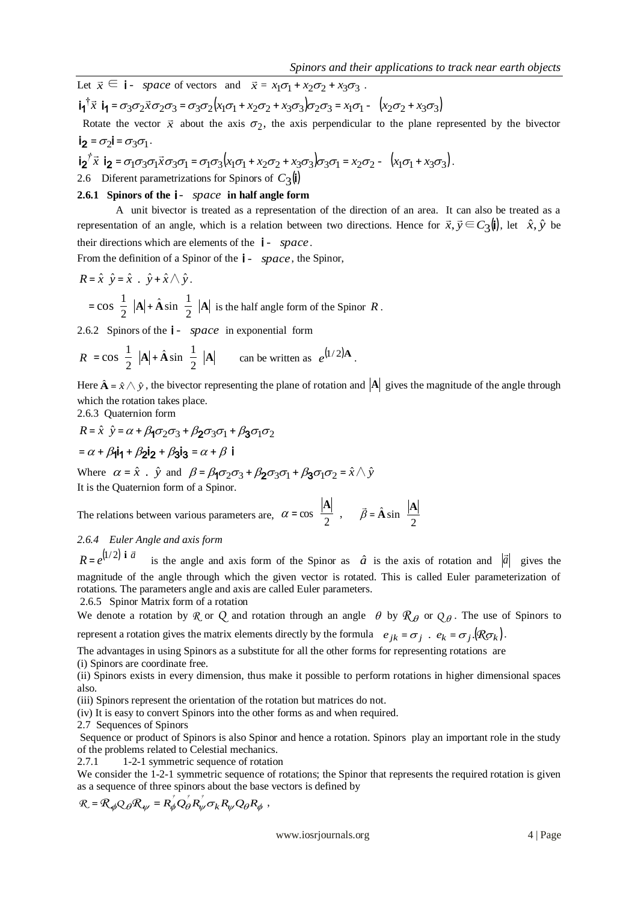Let  $\vec{x} \in \vec{i}$ - *space* of vectors and  $\vec{x} = x_1 \sigma_1 + x_2 \sigma_2 + x_3 \sigma_3$ .  $\int \vec{x}$   $\mathbf{i}_1 = \sigma_3 \sigma_2 \vec{x} \sigma_2 \sigma_3 = \sigma_3 \sigma_2 (x_1 \sigma_1 + x_2 \sigma_2 + x_3 \sigma_3) \sigma_2 \sigma_3 = x_1 \sigma_1 - (x_2 \sigma_2 + x_3 \sigma_3)$  $\mathsf{i}_\mathsf{1}$   $\bar{x}$   $\mathsf{i}_\mathsf{1}$ 

Rotate the vector  $\vec{x}$  about the axis  $\sigma_2$ , the axis perpendicular to the plane represented by the bivector  $i_2 = \sigma_2 i = \sigma_3 \sigma_1$ .

$$
\mathbf{i_2}^{\dagger} \vec{x} \mathbf{i_2} = \sigma_1 \sigma_3 \sigma_1 \vec{x} \sigma_3 \sigma_1 = \sigma_1 \sigma_3 (x_1 \sigma_1 + x_2 \sigma_2 + x_3 \sigma_3) \sigma_3 \sigma_1 = x_2 \sigma_2 - (x_1 \sigma_1 + x_3 \sigma_3).
$$

2.6 Diferent parametrizations for Spinors of  $C_3(\mathbf{i})$ 

# **2.6.1 Spinors of the**  i*- space* **in half angle form**

A unit bivector is treated as a representation of the direction of an area. It can also be treated as a representation of an angle, which is a relation between two directions. Hence for  $\vec{x}, \vec{y} \in C_3(\mathbf{i})$ , let  $\hat{x}, \hat{y}$  be their directions which are elements of the i *- space*.

From the definition of a Spinor of the **i** - *space*, the Spinor,

$$
R = \hat{x} \quad \hat{y} = \hat{x} \quad \hat{y} + \hat{x} \land \hat{y}.
$$
  
= cos  $\frac{1}{2} |A| + \hat{A} \sin \frac{1}{2} |A|$  is the half angle form of the Spinor R.

2.6.2 Spinors of the **i** - *space* in exponential form

$$
R = \cos \frac{1}{2} |\mathbf{A}| + \hat{\mathbf{A}} \sin \frac{1}{2} |\mathbf{A}| \qquad \text{can be written as } e^{(1/2)\mathbf{A}}.
$$

Here  $\hat{\bf A} = \hat{x} \wedge \hat{y}$ , the bivector representing the plane of rotation and  $\begin{vmatrix} A \\ B \end{vmatrix}$  gives the magnitude of the angle through which the rotation takes place.

2.6.3 Quaternion form

$$
R = \hat{x} \quad \hat{y} = \alpha + \beta_1 \sigma_2 \sigma_3 + \beta_2 \sigma_3 \sigma_1 + \beta_3 \sigma_1 \sigma_2
$$

$$
= \alpha + \beta_1 \mathbf{i}_1 + \beta_2 \mathbf{i}_2 + \beta_3 \mathbf{i}_3 = \alpha + \beta_1 \mathbf{i}
$$

Where  $\alpha = \hat{x}$ .  $\hat{y}$  and  $\beta = \beta_1 \sigma_2 \sigma_3 + \beta_2 \sigma_3 \sigma_1 + \beta_3 \sigma_1 \sigma_2 = \hat{x} \wedge \hat{y}$ It is the Quaternion form of a Spinor.

The relations between various parameters are,  $\alpha = \cos \frac{|\mathbf{A}|}{2}$ ,  $\alpha = \cos \frac{|\mathbf{A}|}{2}$ ,  $\vec{\beta} = \hat{\mathbf{A}} \sin \frac{|\mathbf{A}|}{2}$  $\overline{\phantom{a}}$ 

*2.6.4 Euler Angle and axis form*

 $R = e^{(1/2)}$  **i**  $\vec{a}$  $= e^{(1/2)} i \vec{a}$  is the angle and axis form of the Spinor as  $\hat{a}$  is the axis of rotation and  $|\vec{a}|$  gives the magnitude of the angle through which the given vector is rotated. This is called Euler parameterization of rotations. The parameters angle and axis are called Euler parameters.

2.6.5 Spinor Matrix form of a rotation

We denote a rotation by R or Q and rotation through an angle  $\theta$  by  $\mathcal{R}_{\theta}$  or  $Q_{\theta}$ . The use of Spinors to represent a rotation gives the matrix elements directly by the formula  $e_{jk} = \sigma_j$ .  $e_k = \sigma_j \cdot (R\sigma_k)$ .

The advantages in using Spinors as a substitute for all the other forms for representing rotations are

(i) Spinors are coordinate free.

(ii) Spinors exists in every dimension, thus make it possible to perform rotations in higher dimensional spaces also.

(iii) Spinors represent the orientation of the rotation but matrices do not.

(iv) It is easy to convert Spinors into the other forms as and when required.

2.7 Sequences of Spinors

Sequence or product of Spinors is also Spinor and hence a rotation. Spinors play an important role in the study of the problems related to Celestial mechanics.

2.7.1 1-2-1 symmetric sequence of rotation

We consider the 1-2-1 symmetric sequence of rotations; the Spinor that represents the required rotation is given as a sequence of three spinors about the base vectors is defined by

$$
\mathcal{R} = \mathcal{R}_{\phi} Q_{\theta} \mathcal{R}_{\psi} = R_{\phi}^{\dagger} Q_{\theta}^{\dagger} R_{\psi}^{\dagger} \sigma_k R_{\psi} Q_{\theta} R_{\phi} ,
$$

www.iosrjournals.org 4 | Page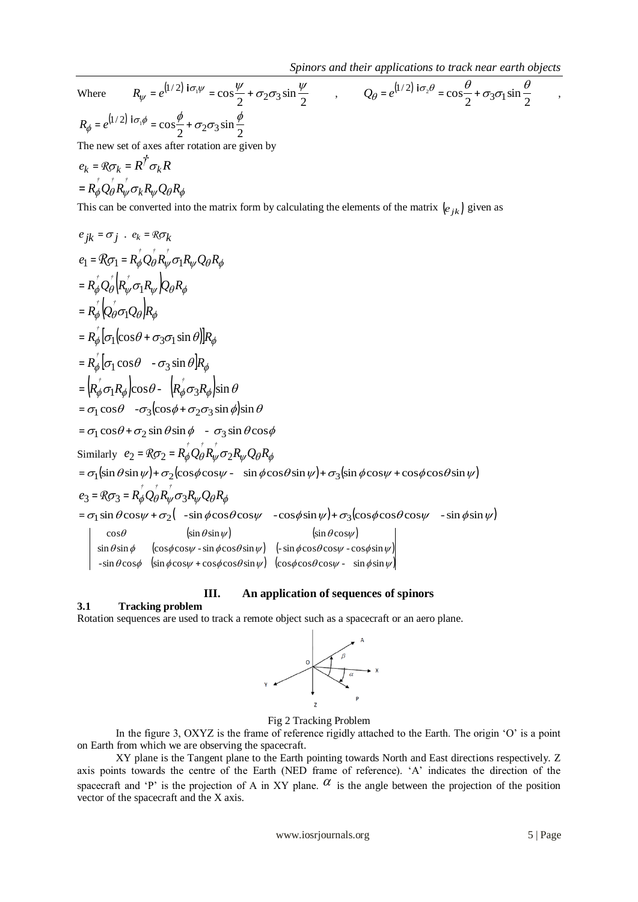2

Where 
$$
R_{\psi} = e^{[1/2] \text{ if } \sigma_{\psi}} = \cos \frac{\psi}{2} + \sigma_2 \sigma_3 \sin \frac{\psi}{2}
$$
  
\n
$$
R_{\phi} = e^{[1/2] \text{ if } \sigma_{\psi}} = \cos \frac{\phi}{2} + \sigma_2 \sigma_3 \sin \frac{\phi}{2}
$$
  
\nThe new set of axes after rotation are given by  
\n
$$
e_k = R \sigma_k = R^{\dagger} \sigma_k R
$$
  
\n
$$
= R_{\phi}^{\dagger} Q_{\theta}^{\dagger} R_{\psi}^{\dagger} \sigma_k R_{\psi} Q_{\theta} R_{\phi}
$$
  
\nThis can be converted into the matrix form by calculating the elements of the matrix  $[e_{jk}]$  given as  
\n
$$
e_{jk} = \sigma_j \cdot e_k = R \sigma_k
$$
  
\n
$$
e_1 = R \sigma_1 = R_{\phi}^{\dagger} Q_{\theta}^{\dagger} R_{\psi}^{\dagger} \sigma_1 R_{\psi} Q_{\theta} R_{\phi}
$$
  
\n
$$
= R_{\phi}^{\dagger} Q_{\theta}^{\dagger} \sigma_1 R_{\psi} Q_{\theta} R_{\phi}
$$
  
\n
$$
= R_{\phi}^{\dagger} Q_{\theta}^{\dagger} \sigma_1 R_{\psi} Q_{\theta} R_{\phi}
$$
  
\n
$$
= R_{\phi}^{\dagger} Q_{\theta}^{\dagger} \sigma_1 Q_{\theta} R_{\phi}
$$
  
\n
$$
= R_{\phi}^{\dagger} [\sigma_1(\cos \theta + \sigma_3 \sigma_1 \sin \theta)]R_{\phi}
$$
  
\n
$$
= R_{\phi}^{\dagger} [\sigma_1(\cos \theta - \sigma_3 \sin \theta) R_{\phi}
$$
  
\n
$$
= \sigma_1 \cos \theta - \sigma_3(\cos \phi + \sigma_2 \sigma_3 \sin \phi) \sin \theta
$$
  
\n
$$
= \sigma_1 \cos \theta - \sigma_3(\cos \phi + \sigma_2 \sigma_3 \sin \phi) \sin \theta
$$
  
\n
$$
= \sigma_1 \cos \theta + \sigma_2 \sin \theta \sin \phi - \sigma_3 \sin \theta \cos \phi
$$
  
\nSimilarly  $e_2 = R \sigma_2 = R_{\phi}^{\$ 

# **III. An application of sequences of spinors**

## **3.1 Tracking problem**

Rotation sequences are used to track a remote object such as a spacecraft or an aero plane.



Fig 2 Tracking Problem

In the figure 3, OXYZ is the frame of reference rigidly attached to the Earth. The origin 'O' is a point on Earth from which we are observing the spacecraft.

XY plane is the Tangent plane to the Earth pointing towards North and East directions respectively. Z axis points towards the centre of the Earth (NED frame of reference). 'A' indicates the direction of the spacecraft and 'P' is the projection of A in XY plane.  $\alpha$  is the angle between the projection of the position vector of the spacecraft and the X axis.

www.iosrjournals.org 5 | Page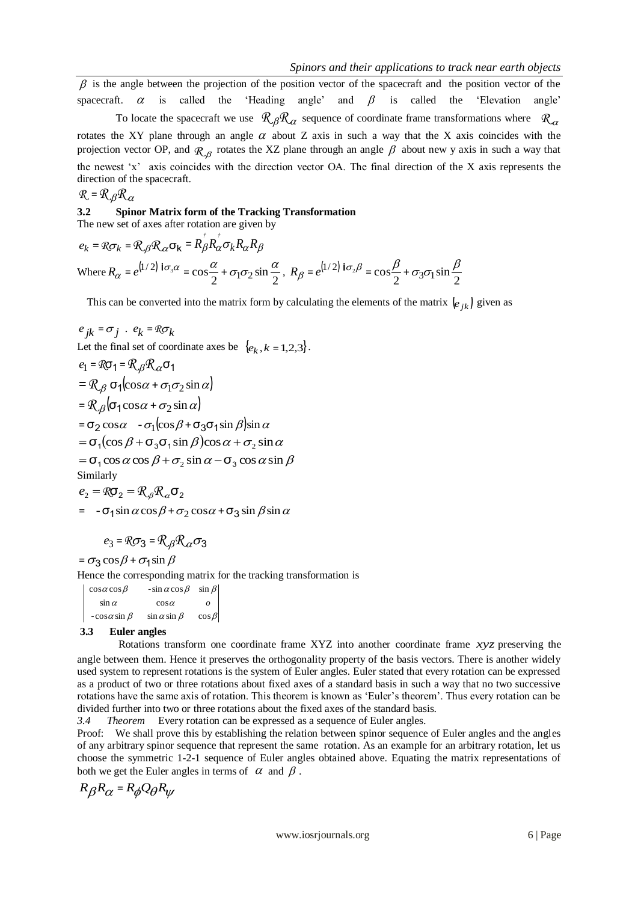$\beta$  is the angle between the projection of the position vector of the spacecraft and the position vector of the spacecraft.  $\alpha$ 'Heading angle' and  $\beta$  is called the 'Elevation angle'

B is using to be very large that the points of the points are control of the speaker in the transition and the points of the transition and the points of the control of the speaker of the speaker of the speaker of the spe To locate the spacecraft we use  $\mathcal{R}_{\beta} \mathcal{R}_{\alpha}$  sequence of coordinate frame transformations where  $\mathcal{R}_{\alpha}$ rotates the XY plane through an angle  $\alpha$  about Z axis in such a way that the X axis coincides with the projection vector OP, and  $\mathcal{R}_{\beta}$  rotates the XZ plane through an angle  $\beta$  about new y axis in such a way that the newest 'x' axis coincides with the direction vector OA. The final direction of the X axis represents the direction of the spacecraft.

$$
\mathcal{R} = \mathcal{R}_{\beta} \mathcal{R}_{\alpha}
$$

# **3.2 Spinor Matrix form of the Tracking Transformation**

*† †*

The new set of axes after rotation are given by

$$
e_k = \mathcal{R}\sigma_k = \mathcal{R}_{\beta}\mathcal{R}_{\alpha}\sigma_k = R_{\beta}R_{\alpha}\sigma_k R_{\alpha}R_{\beta}
$$
  
Where  $R_{\alpha} = e^{(1/2)}\mathbf{i}\sigma_3\alpha = \cos\frac{\alpha}{2} + \sigma_1\sigma_2\sin\frac{\alpha}{2}$ ,  $R_{\beta} = e^{(1/2)}\mathbf{i}\sigma_2\beta = \cos\frac{\beta}{2} + \sigma_3\sigma_1\sin\frac{\beta}{2}$ 

This can be converted into the matrix form by calculating the elements of the matrix  $\begin{bmatrix} e_{jk} \end{bmatrix}$  given as

$$
e_{jk} = \sigma_j
$$
.  $e_k = \Re \sigma_k$   
Let the final set of coordinate axes be  $\{e_k, k = 1, 2, 3\}$ .

$$
e_1 = \Re \sigma_1 = \Re \beta \Re \alpha \sigma_1
$$
  
=  $\Re \beta \sigma_1 (\cos \alpha + \sigma_1 \sigma_2 \sin \alpha)$   
=  $\Re \beta (\sigma_1 \cos \alpha + \sigma_2 \sin \alpha)$   
=  $\sigma_2 \cos \alpha - \sigma_1 (\cos \beta + \sigma_3 \sigma_1 \sin \beta) \sin \alpha$   
=  $\sigma_1 (\cos \beta + \sigma_3 \sigma_1 \sin \beta) \cos \alpha + \sigma_2 \sin \alpha$   
=  $\sigma_1 \cos \alpha \cos \beta + \sigma_2 \sin \alpha - \sigma_3 \cos \alpha \sin \beta$   
Similarly  
 $e_2 = \Re \sigma_2 = \Re \beta \Re \alpha \sigma_2$ 

$$
= -\sigma_1 \sin \alpha \cos \beta + \sigma_2 \cos \alpha + \sigma_3 \sin \beta \sin \alpha
$$

$$
e_3 = \mathcal{R}\sigma_3 = \mathcal{R}_{\beta}\mathcal{R}_{\alpha}\sigma_3
$$

 $= \sigma_3 \cos \beta + \sigma_1 \sin \beta$ 

Hence the corresponding matrix for the tracking transformation is

 $-\cos\alpha\sin\beta$   $\sin\alpha\sin\beta$   $\cos\beta$  $cos \alpha$  $\cos \alpha \cos \beta$  - $\sin \alpha \cos \beta$   $\sin \beta$  $\sin \alpha$ *o*

### **3.3 Euler angles**

Rotations transform one coordinate frame XYZ into another coordinate frame *xyz* preserving the angle between them. Hence it preserves the orthogonality property of the basis vectors. There is another widely used system to represent rotations is the system of Euler angles. Euler stated that every rotation can be expressed as a product of two or three rotations about fixed axes of a standard basis in such a way that no two successive rotations have the same axis of rotation. This theorem is known as 'Euler's theorem'. Thus every rotation can be divided further into two or three rotations about the fixed axes of the standard basis.

*3.4 Theorem* Every rotation can be expressed as a sequence of Euler angles.

Proof: We shall prove this by establishing the relation between spinor sequence of Euler angles and the angles of any arbitrary spinor sequence that represent the same rotation. As an example for an arbitrary rotation, let us choose the symmetric 1-2-1 sequence of Euler angles obtained above. Equating the matrix representations of both we get the Euler angles in terms of  $\alpha$  and  $\beta$ .

$$
R_{\beta}R_{\alpha} = R_{\phi}Q_{\theta}R_{\psi}
$$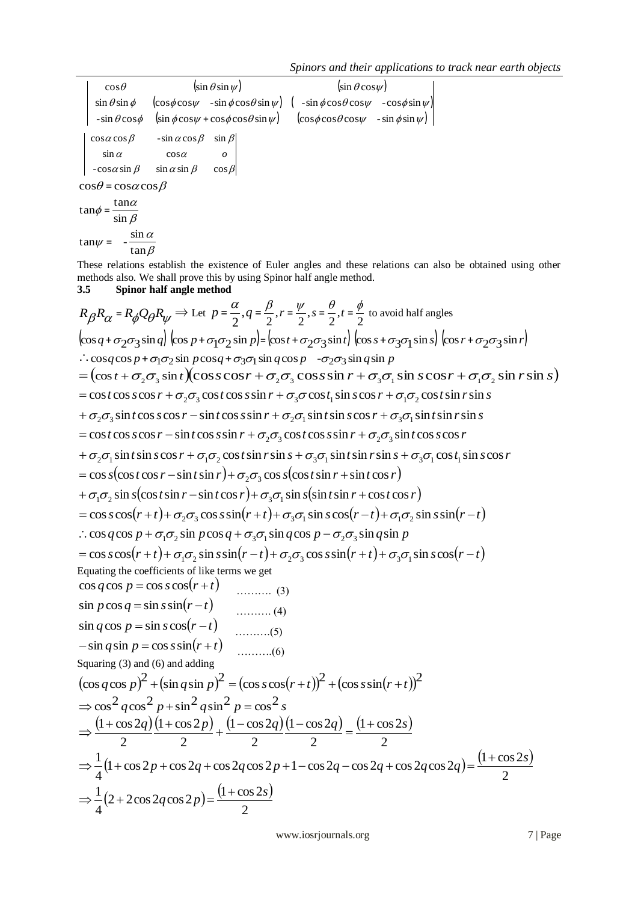*Spinors and their applications to track near earth objects*

| $\cos\theta$                                                   | $\left(\sin \theta \sin \psi\right)$ |                  | $\sin \theta \cos \psi$                                                                                                                                            |  |  |
|----------------------------------------------------------------|--------------------------------------|------------------|--------------------------------------------------------------------------------------------------------------------------------------------------------------------|--|--|
|                                                                |                                      |                  | $\sin \theta \sin \phi$ $\left(\cos \phi \cos \psi - \sin \phi \cos \theta \sin \psi\right)$ $\left(-\sin \phi \cos \theta \cos \psi - \cos \phi \sin \psi\right)$ |  |  |
|                                                                |                                      |                  | $-\sin\theta\cos\phi$ $\left(\sin\phi\cos\psi + \cos\phi\cos\theta\sin\psi\right)$ $\left(\cos\phi\cos\theta\cos\psi - \sin\phi\sin\psi\right)$                    |  |  |
| $\cos\alpha \cos\beta$ -sin $\alpha \cos\beta$ sin $\beta$     |                                      |                  |                                                                                                                                                                    |  |  |
| $\sin \alpha$                                                  | $\cos \alpha$                        | $\boldsymbol{o}$ |                                                                                                                                                                    |  |  |
| $-cos \alpha \sin \beta$ $\sin \alpha \sin \beta$ $\cos \beta$ |                                      |                  |                                                                                                                                                                    |  |  |
| $\cos\theta = \cos\alpha \cos\beta$                            |                                      |                  |                                                                                                                                                                    |  |  |
| $tan\alpha$<br>$tan \phi =$<br>$\sin \beta$                    |                                      |                  |                                                                                                                                                                    |  |  |
| sin $\alpha$<br>$tan \psi =$<br>$\tan \beta$                   |                                      |                  |                                                                                                                                                                    |  |  |

These relations establish the existence of Euler angles and these relations can also be obtained using other methods also. We shall prove this by using Spinor half angle method.

$$
\begin{vmatrix}\n\cos\theta & \sin\theta\sin\phi & \sin\theta\cos\phi\cos\phi\sin\phi \\
\sin\theta\sin\phi & \cos\phi\cos\phi\sin\phi & \cos\phi\cos\phi\cos\phi\sin\phi \\
\sin\phi\cos\phi & \sin\phi\cos\phi & \sin\phi\cos\phi\sin\phi \\
\cos\phi & \sin\phi\cos\phi & \sin\phi\cos\phi \\
\cos\phi & \sin\phi\cos\phi & \sin\phi\cos\phi\n\end{vmatrix}
$$
\n
$$
\begin{vmatrix}\n\cos\phi\cos\phi & \sin\phi\sin\phi & \cos\phi\sin\phi \\
\cos\phi\sin\phi & \cos\phi & \cos\phi\n\end{vmatrix}
$$
\n
$$
\begin{vmatrix}\n\cos\phi\cos\phi & \sin\phi\sin\phi & \cos\phi \\
\cos\phi\sin\phi & \sin\phi\sin\phi & \cos\phi\n\end{vmatrix}
$$
\n
$$
\begin{vmatrix}\n\cos\phi\cos\phi & \sin\phi\sin\phi & \cos\phi \\
\cos\phi\cos\phi & \sin\phi\sin\phi & \cos\phi\n\end{vmatrix}
$$
\n
$$
\begin{vmatrix}\n\cos\phi & \cos\phi & \sin\phi \\
\cos\phi & \cos\phi & \cos\phi\n\end{vmatrix}
$$
\n
$$
\begin{vmatrix}\n\cos\phi & \cos\phi & \cos\phi \\
\cos\phi & \cos\phi & \cos\phi\n\end{vmatrix} = \begin{vmatrix}\n\cos\phi & \cos\phi & \cos\phi \\
\cos\phi & \cos\phi & \cos\phi\n\end{vmatrix}
$$
\n
$$
\begin{vmatrix}\n\cos\phi & \cos\phi & \cos\phi \\
\cos\phi & \cos\phi & \cos\phi & \cos\phi\n\end{vmatrix} = \begin{vmatrix}\n\cos\phi & \cos\phi & \cos\phi \\
\cos\phi & \cos\phi & \cos\phi & \cos\phi \\
\cos\phi & \cos\phi & \cos\phi & \cos\phi\n\end{vmatrix} = \begin{vmatrix}\n\cos\phi & \cos\phi & \cos\phi \\
\cos\phi & \cos\phi & \cos\phi & \cos\phi \\
\cos\phi & \cos\phi & \cos\phi & \cos\phi\n\end{vmatrix}
$$
\n
$$
= (\cos\phi + \phi_2\phi_2\sin\phi)\cos\phi & \cos\phi & \cos\phi & \cos\phi & \cos\phi & \cos\phi & \cos
$$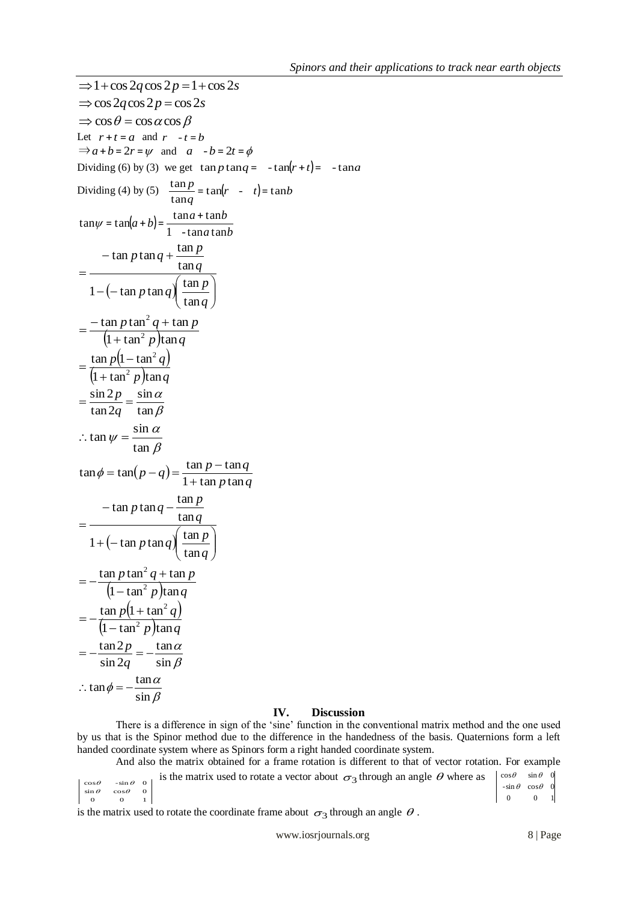$$
\Rightarrow 1 + \cos 2q \cos 2p = 1 + \cos 2s
$$
  
\n
$$
\Rightarrow \cos 2q \cos 2p = \cos 2s
$$
  
\n
$$
\Rightarrow \cos \theta = \cos \alpha \cos \beta
$$
  
\nLet  $r + t = a$  and  $r - t = b$   
\n
$$
\Rightarrow a + b = 2r = \psi
$$
 and  $a - b = 2t = \phi$   
\nDividing (6) by (3) we get  $\tan p \tan q = -\tan(r + t) = -\tan a$   
\nDividing (4) by (5)  $\frac{\tan p}{\tan q} = \tan(r - t) = \tan b$   
\n $\tan \psi = \tan(a + b) = \frac{\tan a + \tan b}{1 - \tan a \tan b}$   
\n $\qquad - \tan p \tan q + \frac{\tan p}{\tan q}$   
\n $\qquad = \frac{-\tan p \tan^2 q + \tan p}{1 - (-\tan p \tan q) \tan q}$   
\n $\qquad = \frac{\tan p(1 - \tan^2 q)}{(1 + \tan^2 p) \tan q}$   
\n $\qquad = \frac{\sin 2p}{\tan 2q} = \frac{\sin \alpha}{\tan \beta}$   
\n $\therefore \tan \psi = \frac{\sin \alpha}{\tan \beta}$   
\n $\tan \phi = \tan(p - q) = \frac{\tan p - \tan q}{1 + \tan p \tan q}$   
\n $\qquad - \tan p \tan q - \frac{\tan p}{\tan q}$   
\n $\qquad = -\frac{\tan p \tan^2 q + \tan p}{1 + (-\tan p \tan q) \left(\frac{\tan p}{\tan q}\right)}$   
\n $\qquad = -\frac{\tan p(1 + \tan^2 q)}{(1 - \tan^2 p) \tan q}$   
\n $\qquad = -\frac{\tan p(1 + \tan^2 q)}{(\ln \tan^2 p) \tan q}$   
\n $\qquad = -\frac{\tan 2p}{\sin 2q} = -\frac{\tan \alpha}{\sin \beta}$   
\n $\therefore \tan \phi = -\frac{\tan \alpha}{\sin \beta}$ 

### **IV. Discussion**

There is a difference in sign of the 'sine' function in the conventional matrix method and the one used by us that is the Spinor method due to the difference in the handedness of the basis. Quaternions form a left handed coordinate system where as Spinors form a right handed coordinate system.

And also the matrix obtained for a frame rotation is different to that of vector rotation. For example  $\begin{vmatrix}\n\cos \theta & -\sin \theta & 0 \\
\sin \theta & \cos \theta & 0 \\
0 & 0 & 1\n\end{vmatrix}$  $\sin \theta$   $\cos \theta$  0  $\cos \theta$  -sin  $\theta$  0 is the matrix used to rotate a vector about  $\sigma_3$  through an angle  $\theta$  where as  $0 \qquad 0 \qquad 1$  $-\sin \theta \cos \theta$  0  $\cos \theta$   $\sin \theta$  0

is the matrix used to rotate the coordinate frame about  $\sigma_3$  through an angle  $\theta$ .